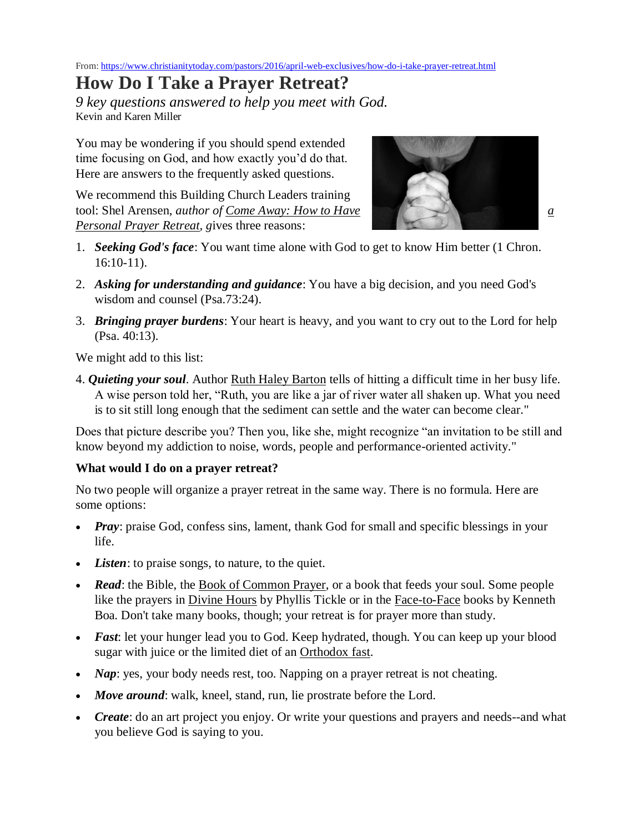From[: https://www.christianitytoday.com/pastors/2016/april-web-exclusives/how-do-i-take-prayer-retreat.html](https://www.christianitytoday.com/pastors/2016/april-web-exclusives/how-do-i-take-prayer-retreat.html)

# **How Do I Take a Prayer Retreat?**

*9 key questions answered to help you meet with God.* Kevin and Karen Miller

You may be wondering if you should spend extended time focusing on God, and how exactly you'd do that. Here are answers to the frequently asked questions.

We recommend this Building Church Leaders training tool: Shel Arensen, *author of Come [Away:](http://www.amazon.com/Come-Away-Personal-Prayer-Retreat/dp/0825420431/ref=sr_1_fkmr0_1?ie=UTF8&qid=1408931982&sr=8-1-fkmr0&keywords=prayer+retreat+shel+arenson) How to Have [a](http://www.amazon.com/Come-Away-Personal-Prayer-Retreat/dp/0825420431/ref=sr_1_fkmr0_1?ie=UTF8&qid=1408931982&sr=8-1-fkmr0&keywords=prayer+retreat+shel+arenson) [Personal](http://www.amazon.com/Come-Away-Personal-Prayer-Retreat/dp/0825420431/ref=sr_1_fkmr0_1?ie=UTF8&qid=1408931982&sr=8-1-fkmr0&keywords=prayer+retreat+shel+arenson) Prayer Retreat, g*ives three reasons:



- 1. *Seeking God's face*: You want time alone with God to get to know Him better (1 Chron. 16:10-11).
- 2. *Asking for understanding and guidance*: You have a big decision, and you need God's wisdom and counsel (Psa.73:24).
- 3. *Bringing prayer burdens*: Your heart is heavy, and you want to cry out to the Lord for help (Psa. 40:13).

We might add to this list:

4. *Quieting your soul*. Author [Ruth Haley Barton](http://www.amazon.com/Ruth-Haley-Barton/e/B003UIUIGK/ref=sr_tc_2_0?qid=1409081938&sr=1-2-ent) tells of hitting a difficult time in her busy life. A wise person told her, "Ruth, you are like a jar of river water all shaken up. What you need is to sit still long enough that the sediment can settle and the water can become clear."

Does that picture describe you? Then you, like she, might recognize "an invitation to be still and know beyond my addiction to noise, words, people and performance-oriented activity."

#### **What would I do on a prayer retreat?**

No two people will organize a prayer retreat in the same way. There is no formula. Here are some options:

- *Pray*: praise God, confess sins, lament, thank God for small and specific blessings in your life.
- *Listen*: to praise songs, to nature, to the quiet.
- **Read**: the Bible, the [Book of Common Prayer,](http://www.bcponline.org/) or a book that feeds your soul. Some people like the prayers in [Divine Hours](http://www.amazon.com/The-Divine-Hours-Volume-Two/dp/038550540X/ref=sr_1_3?ie=UTF8&qid=1408932120&sr=8-3&keywords=phyllis+tickle) by Phyllis Tickle or in the [Face-to-Face](http://www.amazon.com/Face-Praying-Scriptures-Intimate-Worship/dp/0310925509/ref=sr_1_3?ie=UTF8&qid=1408932074&sr=8-3&keywords=kenneth+boa) books by Kenneth Boa. Don't take many books, though; your retreat is for prayer more than study.
- *Fast*: let your hunger lead you to God. Keep hydrated, though. You can keep up your blood sugar with juice or the limited diet of an [Orthodox fast.](http://www.abbamoses.com/fasting.html)
- *Nap*: yes, your body needs rest, too. Napping on a prayer retreat is not cheating.
- *Move around*: walk, kneel, stand, run, lie prostrate before the Lord.
- *Create*: do an art project you enjoy. Or write your questions and prayers and needs--and what you believe God is saying to you.